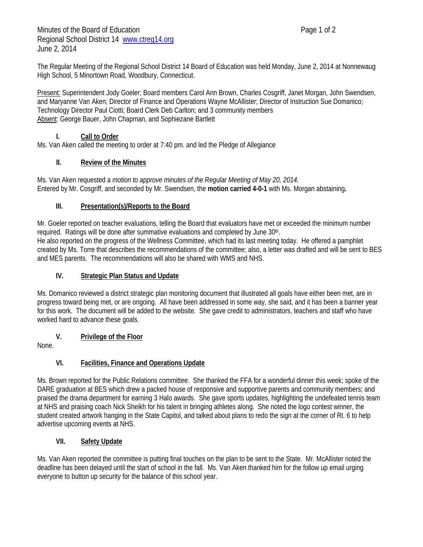The Regular Meeting of the Regional School District 14 Board of Education was held Monday, June 2, 2014 at Nonnewaug High School, 5 Minortown Road, Woodbury, Connecticut.

Present: Superintendent Jody Goeler; Board members Carol Ann Brown, Charles Cosgriff, Janet Morgan, John Swendsen, and Maryanne Van Aken; Director of Finance and Operations Wayne McAllister; Director of Instruction Sue Domanico; Technology Director Paul Ciotti; Board Clerk Deb Carlton; and 3 community members Absent: George Bauer, John Chapman, and Sophiezane Bartlett

### **I. Call to Order**

Ms. Van Aken called the meeting to order at 7:40 pm. and led the Pledge of Allegiance

### **II. Review of the Minutes**

Ms. Van Aken requested a *motion to approve minutes of the Regular Meeting of May 20, 2014.* Entered by Mr. Cosgriff, and seconded by Mr. Swendsen, the **motion carried 4-0-1** with Ms. Morgan abstaining**.** 

### **III. Presentation(s)/Reports to the Board**

Mr. Goeler reported on teacher evaluations, telling the Board that evaluators have met or exceeded the minimum number required. Ratings will be done after summative evaluations and completed by June 30<sup>th</sup>. He also reported on the progress of the Wellness Committee, which had its last meeting today. He offered a pamphlet

created by Ms. Torre that describes the recommendations of the committee; also, a letter was drafted and will be sent to BES and MES parents. The recommendations will also be shared with WMS and NHS.

## **IV. Strategic Plan Status and Update**

Ms. Domanico reviewed a district strategic plan monitoring document that illustrated all goals have either been met, are in progress toward being met, or are ongoing. All have been addressed in some way, she said, and it has been a banner year for this work. The document will be added to the website. She gave credit to administrators, teachers and staff who have worked hard to advance these goals.

# **V. Privilege of the Floor**

None.

# **VI. Facilities, Finance and Operations Update**

Ms. Brown reported for the Public Relations committee. She thanked the FFA for a wonderful dinner this week; spoke of the DARE graduation at BES which drew a packed house of responsive and supportive parents and community members; and praised the drama department for earning 3 Halo awards. She gave sports updates, highlighting the undefeated tennis team at NHS and praising coach Nick Sheikh for his talent in bringing athletes along. She noted the logo contest winner, the student created artwork hanging in the State Capitol, and talked about plans to redo the sign at the corner of Rt. 6 to help advertise upcoming events at NHS.

# **VII. Safety Update**

Ms. Van Aken reported the committee is putting final touches on the plan to be sent to the State. Mr. McAllister noted the deadline has been delayed until the start of school in the fall. Ms. Van Aken thanked him for the follow up email urging everyone to button up security for the balance of this school year.